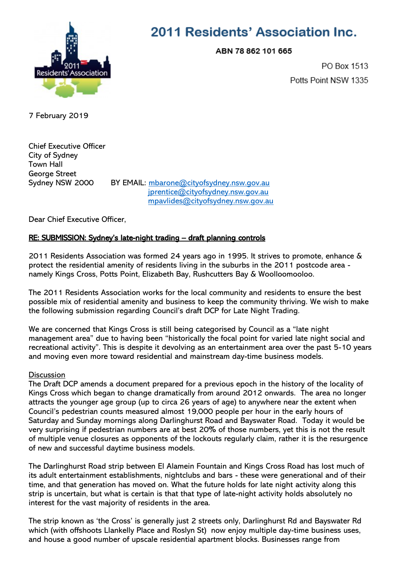

## 2011 Residents' Association Inc.

ABN 78 862 101 665

PO Box 1513 Potts Point NSW 1335

7 February 2019

Chief Executive Officer City of Sydney Town Hall George Street Sydney NSW 2000 BY EMAIL: [mbarone@cityofsydney.nsw.gov.au](mailto:mbarone@cityofsydney.nsw.gov.au)

 [jprentice@cityofsydney.nsw.gov.au](mailto:jprentice@cityofsydney.nsw.gov.au) [mpavlides@cityofsydney.nsw.gov.au](mailto:mpavlides@cityofsydney.nsw.gov.au)

Dear Chief Executive Officer,

## RE: SUBMISSION: Sydney's late-night trading – draft planning controls

2011 Residents Association was formed 24 years ago in 1995. It strives to promote, enhance & protect the residential amenity of residents living in the suburbs in the 2011 postcode area namely Kings Cross, Potts Point, Elizabeth Bay, Rushcutters Bay & Woolloomooloo.

The 2011 Residents Association works for the local community and residents to ensure the best possible mix of residential amenity and business to keep the community thriving. We wish to make the following submission regarding Council's draft DCP for Late Night Trading.

We are concerned that Kings Cross is still being categorised by Council as a "late night management area" due to having been "historically the focal point for varied late night social and recreational activity". This is despite it devolving as an entertainment area over the past 5-10 years and moving even more toward residential and mainstream day-time business models.

## **Discussion**

The Draft DCP amends a document prepared for a previous epoch in the history of the locality of Kings Cross which began to change dramatically from around 2012 onwards. The area no longer attracts the younger age group (up to circa 26 years of age) to anywhere near the extent when Council's pedestrian counts measured almost 19,000 people per hour in the early hours of Saturday and Sunday mornings along Darlinghurst Road and Bayswater Road. Today it would be very surprising if pedestrian numbers are at best 20% of those numbers, yet this is not the result of multiple venue closures as opponents of the lockouts regularly claim, rather it is the resurgence of new and successful daytime business models.

The Darlinghurst Road strip between El Alamein Fountain and Kings Cross Road has lost much of its adult entertainment establishments, nightclubs and bars - these were generational and of their time, and that generation has moved on. What the future holds for late night activity along this strip is uncertain, but what is certain is that that type of late-night activity holds absolutely no interest for the vast majority of residents in the area.

The strip known as 'the Cross' is generally just 2 streets only, Darlinghurst Rd and Bayswater Rd which (with offshoots Llankelly Place and Roslyn St) now enjoy multiple day-time business uses, and house a good number of upscale residential apartment blocks. Businesses range from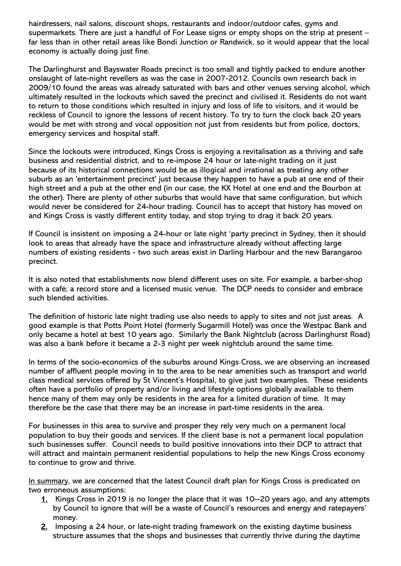hairdressers, nail salons, discount shops, restaurants and indoor/outdoor cafes, gyms and supermarkets. There are just a handful of For Lease signs or empty shops on the strip at present – far less than in other retail areas like Bondi Junction or Randwick, so it would appear that the local economy is actually doing just fine.

The Darlinghurst and Bayswater Roads precinct is too small and tightly packed to endure another onslaught of late-night revellers as was the case in 2007-2012. Councils own research back in 2009/10 found the areas was already saturated with bars and other venues serving alcohol, which ultimately resulted in the lockouts which saved the precinct and civilised it. Residents do not want to return to those conditions which resulted in injury and loss of life to visitors, and it would be reckless of Council to ignore the lessons of recent history. To try to turn the clock back 20 years would be met with strong and vocal opposition not just from residents but from police, doctors, emergency services and hospital staff.

Since the lockouts were introduced, Kings Cross is enjoying a revitalisation as a thriving and safe business and residential district, and to re-impose 24 hour or late-night trading on it just because of its historical connections would be as illogical and irrational as treating any other suburb as an 'entertainment precinct' just because they happen to have a pub at one end of their high street and a pub at the other end (in our case, the KX Hotel at one end and the Bourbon at the other). There are plenty of other suburbs that would have that same configuration, but which would never be considered for 24-hour trading. Council has to accept that history has moved on and Kings Cross is vastly different entity today, and stop trying to drag it back 20 years.

If Council is insistent on imposing a 24-hour or late night 'party precinct in Sydney, then it should look to areas that already have the space and infrastructure already without affecting large numbers of existing residents - two such areas exist in Darling Harbour and the new Barangaroo precinct.

It is also noted that establishments now blend different uses on site. For example, a barber-shop with a café; a record store and a licensed music venue. The DCP needs to consider and embrace such blended activities.

The definition of historic late night trading use also needs to apply to sites and not just areas. A good example is that Potts Point Hotel (formerly Sugarmill Hotel) was once the Westpac Bank and only became a hotel at best 10 years ago. Similarly the Bank Nightclub (across Darlinghurst Road) was also a bank before it became a 2-3 night per week nightclub around the same time.

In terms of the socio-economics of the suburbs around Kings Cross, we are observing an increased number of affluent people moving in to the area to be near amenities such as transport and world class medical services offered by St Vincent's Hospital, to give just two examples. These residents often have a portfolio of property and/or living and lifestyle options globally available to them hence many of them may only be residents in the area for a limited duration of time. It may therefore be the case that there may be an increase in part-time residents in the area.

For businesses in this area to survive and prosper they rely very much on a permanent local population to buy their goods and services. If the client base is not a permanent local population such businesses suffer. Council needs to build positive innovations into their DCP to attract that will attract and maintain permanent residential populations to help the new Kings Cross economy to continue to grow and thrive.

In summary, we are concerned that the latest Council draft plan for Kings Cross is predicated on two erroneous assumptions:

- 1. Kings Cross in 2019 is no longer the place that it was 10--20 years ago, and any attempts by Council to ignore that will be a waste of Council's resources and energy and ratepayers' money.
- 2. Imposing a 24 hour, or late-night trading framework on the existing daytime business structure assumes that the shops and businesses that currently thrive during the daytime